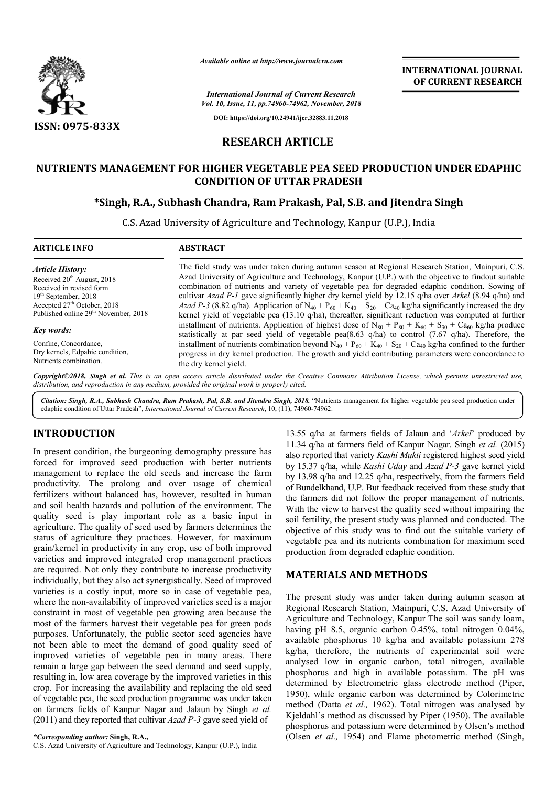

*Available online at http://www.journalcra.com*

*International Journal of Current Research Vol. 10, Issue, 11, pp.74960-74962, November, 2018* **INTERNATIONAL JOURNAL OF CURRENT RESEARCH**

**DOI: https://doi.org/10.24941/ijcr.32883.11.2018**

# **RESEARCH ARTICLE**

## **NUTRIENTS MANAGEMENT FOR HIGHER VEGETABLE PEA SEED PRODUCTION UNDER EDAPHIC NUTRIENTS MANAGEMENT PEA SEED PRODUCTION CONDITION OF UTTAR PRADESH**

# **\*Singh, R.A., Subhash Chandra, Ram Singh, Prakash, Pal, S.B. and Jitendra Singh Prakash,**

C.S. Azad University of Agriculture and Technology, Kanpur (U.P.), India University of

| <b>ARTICLE INFO</b>                              | <b>ABSTRACT</b>                                                                                                                                                                                                            |  |  |  |  |
|--------------------------------------------------|----------------------------------------------------------------------------------------------------------------------------------------------------------------------------------------------------------------------------|--|--|--|--|
| Article History:                                 | The field study was under taken during autumn season at Regional Research Station, Mainpuri, C.S.                                                                                                                          |  |  |  |  |
| Received 20 <sup>th</sup> August, 2018           | Azad University of Agriculture and Technology, Kanpur (U.P.) with the objective to findout suitable                                                                                                                        |  |  |  |  |
| Received in revised form                         | combination of nutrients and variety of vegetable pea for degraded edaphic condition. Sowing of                                                                                                                            |  |  |  |  |
| $19th$ September, 2018                           | cultivar Azad P-1 gave significantly higher dry kernel yield by 12.15 g/ha over Arkel (8.94 g/ha) and                                                                                                                      |  |  |  |  |
| Accepted $27th$ October, 2018                    | Azad P-3 (8.82 q/ha). Application of N <sub>40</sub> + P <sub>60</sub> + K <sub>40</sub> + S <sub>20</sub> + Ca <sub>40</sub> kg/ha significantly increased the dry                                                        |  |  |  |  |
| Published online 29 <sup>th</sup> November, 2018 | kernel yield of vegetable pea $(13.10 \text{ q/ha})$ , thereafter, significant reduction was computed at further                                                                                                           |  |  |  |  |
| Key words:                                       | installment of nutrients. Application of highest dose of $N_{80} + P_{80} + K_{60} + S_{30} + C_{460}$ kg/ha produce<br>statistically at par seed yield of vegetable pea(8.63 q/ha) to control (7.67 q/ha). Therefore, the |  |  |  |  |
| Confine, Concordance,                            | installment of nutrients combination beyond $N_{40} + P_{60} + K_{40} + S_{20} + C_{440}$ kg/ha confined to the further                                                                                                    |  |  |  |  |
| Dry kernels, Edpahic condition,                  | progress in dry kernel production. The growth and yield contributing parameters were concordance to                                                                                                                        |  |  |  |  |

Copyright©2018, Singh et al. This is an open access article distributed under the Creative Commons Attribution License, which permits unrestricted use, *distribution, and reproduction in any medium, provided the original work is properly cited.*

the dry kernel yield.

Citation: Singh, R.A., Subhash Chandra, Ram Prakash, Pal, S.B. and Jitendra Singh, 2018. "Nutrients management for higher vegetable pea seed production under edaphic condition of Uttar Pradesh", *International Journal of Current Research*, 10, (11), 74960-74962.

### **INTRODUCTION**

Nutrients combination.

In present condition, the burgeoning demography pressure has forced for improved seed production with better nutrients management to replace the old seeds and increase the farm productivity. The prolong and over usage of chemical fertilizers without balanced has, however, resulted in human and soil health hazards and pollution of the environment. The quality seed is play important role as a basic input in agriculture. The quality of seed used by farmers determines the status of agriculture they practices. However, for maximum grain/kernel in productivity in any crop, use of both improved varieties and improved integrated crop management practices are required. Not only they contribute to increase productivity individually, but they also act synergistically. Seed of improved varieties is a costly input, more so in case of vegetable pea, where the non-availability of improved varieties seed is a major constraint in most of vegetable pea growing area because the most of the farmers harvest their vegetable pea fo purposes. Unfortunately, the public sector seed agencies have not been able to meet the demand of good quality seed of improved varieties of vegetable pea in many areas. There remain a large gap between the seed demand and seed supply, resulting in, low area coverage by the improved varieties in this resulting in, low area coverage by the improved varieties in this crop. For increasing the availability and replacing the old seed of vegetable pea, the seed production programme was under taken on farmers fields of Kanpur Nagar and Jalaun by Singh *et al.* (2011) and they reported that cultivar *Azad P-3* gave seed yield of ed has, however, resulted in human<br>nd pollution of the environment. The<br>nportant role as a basic input in<br>f seed used by farmers determines the<br> $v$  practices. However, for maximum<br>ty in any crop, use of both improved<br>ntegr availability of improved varieties seed is a major<br>nost of vegetable pea growing area because the<br>mers harvest their vegetable pea for green pods

13.55 q/ha at farmers fields of Jalaun and '*Arkel*' produced by 11.34 q/ha at farmers field of Kanpur Nagar. Singh et al. (2015) also reported that variety *Kashi Mukti Mukti* registered highest seed yield by 15.37 q/ha, while *Kashi Uday* and *Azad P-3* gave kernel yield by 13.98  $q$ /ha and 12.25  $q$ /ha, respectively, from the farmers field of Bundelkhand, U.P. But feedback received from these study that the farmers did not follow the proper management of nutrients. With the view to harvest the quality seed without impairing the soil fertility, the present study was planned and conducted. The objective of this study was to find out the suitable variety of vegetable pea and its nutrients combination for maximum seed production from degraded edaphic condition. of Bundelkhand, U.P. But feedback received from these study that the farmers did not follow the proper management of nutrients. With the view to harvest the quality seed without impairing the soil fertility, the present st of this study was to find out the suitable<br>pea and its nutrients combination for maxi<br>n from degraded edaphic condition.

## **MATERIALS AND METHODS METHODS**

The present study was under taken during autumn season at Regional Research Station, Mainpuri, C.S. Azad University of Agriculture and Technology, Kanpur The soil was sandy loam, having pH 8.5, organic carbon 0.45%, total nitrogen 0.04%, available phosphorus 10 kg/ha and available potassium 278 kg/ha, therefore, the nutrients of experimental soil were analysed low in organic carbon, total nitrogen, available phosphorus and high in available potassium. The pH was determined by Electrometric glass electrode method (Piper, 1950), while organic carbon was determined by Colorimetric method (Datta *et al.,* 1962). Total nitrogen was analysed by Kjeldahl's method as discussed by Piper (1950). The available phosphorus and potassium were determined by Olsen's method (Olsen *et al.*, 1954) and Flame photometric method (Singh, Agriculture and Technology, Kanpur The soil was sandy loam, having pH 8.5, organic carbon 0.45%, total nitrogen 0.04%, available phosphorus 10 kg/ha and available potassium 278 kg/ha, therefore, the nutrients of experimen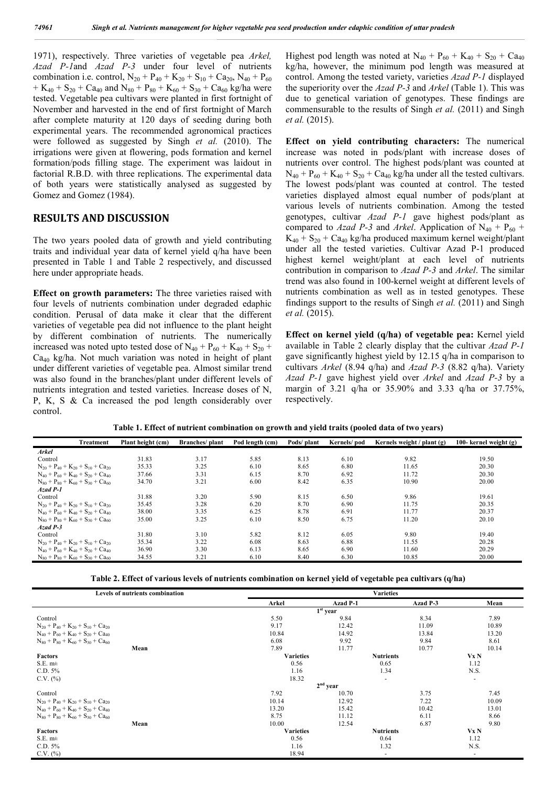1971), respectively. Three varieties of vegetable pea *Arkel, Azad P-1*and *Azad P-3* under four level of nutrients combination i.e. control,  $N_{20} + P_{40} + K_{20} + S_{10} + C_{20}$ ,  $N_{40} + P_{60}$ + K<sub>40</sub> + S<sub>20</sub> + Ca<sub>40</sub> and N<sub>80</sub> + P<sub>80</sub> + K<sub>60</sub> + S<sub>30</sub> + Ca<sub>60</sub> kg/ha were tested. Vegetable pea cultivars were planted in first fortnight of November and harvested in the end of first fortnight of March after complete maturity at 120 days of seeding during both experimental years. The recommended agronomical practices were followed as suggested by Singh *et al.* (2010). The irrigations were given at flowering, pods formation and kernel formation/pods filling stage. The experiment was laidout in factorial R.B.D. with three replications. The experimental data of both years were statistically analysed as suggested by Gomez and Gomez (1984).

#### **RESULTS AND DISCUSSION**

The two years pooled data of growth and yield contributing traits and individual year data of kernel yield q/ha have been presented in Table 1 and Table 2 respectively, and discussed here under appropriate heads.

**Effect on growth parameters:** The three varieties raised with four levels of nutrients combination under degraded edaphic condition. Perusal of data make it clear that the different varieties of vegetable pea did not influence to the plant height by different combination of nutrients. The numerically increased was noted upto tested dose of  $N_{40} + P_{60} + K_{40} + S_{20}$  +  $Ca<sub>40</sub>$  kg/ha. Not much variation was noted in height of plant under different varieties of vegetable pea. Almost similar trend was also found in the branches/plant under different levels of nutrients integration and tested varieties. Increase doses of N, P, K, S & Ca increased the pod length considerably over control.

Highest pod length was noted at  $N_{40} + P_{60} + K_{40} + S_{20} + Ca_{40}$ kg/ha, however, the minimum pod length was measured at control. Among the tested variety, varieties *Azad P-1* displayed the superiority over the *Azad P-3* and *Arkel* (Table 1). This was due to genetical variation of genotypes. These findings are commensurable to the results of Singh *et al.* (2011) and Singh *et al.* (2015).

**Effect on yield contributing characters:** The numerical increase was noted in pods/plant with increase doses of nutrients over control. The highest pods/plant was counted at  $N_{40} + P_{60} + K_{40} + S_{20} + Ca_{40}$  kg/ha under all the tested cultivars. The lowest pods/plant was counted at control. The tested varieties displayed almost equal number of pods/plant at various levels of nutrients combination. Among the tested genotypes, cultivar *Azad P-1* gave highest pods/plant as compared to *Azad P-3* and *Arkel*. Application of  $N_{40} + P_{60}$  +  $K_{40} + S_{20} + C_{40}$  kg/ha produced maximum kernel weight/plant under all the tested varieties. Cultivar Azad P-1 produced highest kernel weight/plant at each level of nutrients contribution in comparison to *Azad P-3* and *Arkel*. The similar trend was also found in 100-kernel weight at different levels of nutrients combination as well as in tested genotypes. These findings support to the results of Singh *et al.* (2011) and Singh *et al.* (2015).

**Effect on kernel yield (q/ha) of vegetable pea:** Kernel yield available in Table 2 clearly display that the cultivar *Azad P-1* gave significantly highest yield by 12.15 q/ha in comparison to cultivars *Arkel* (8.94 q/ha) and *Azad P-3* (8.82 q/ha). Variety *Azad P-1* gave highest yield over *Arkel* and *Azad P-3* by a margin of 3.21 q/ha or 35.90% and 3.33 q/ha or 37.75%, respectively.

| <b>Treatment</b>                                                                  | Plant height (cm) | <b>Branches</b> / plant | Pod length (cm) | Pods/plant | Kernels/pod | Kernels weight $/$ plant $(g)$ | 100- kernel weight $(g)$ |
|-----------------------------------------------------------------------------------|-------------------|-------------------------|-----------------|------------|-------------|--------------------------------|--------------------------|
| <b>Arkel</b>                                                                      |                   |                         |                 |            |             |                                |                          |
| Control                                                                           | 31.83             | 3.17                    | 5.85            | 8.13       | 6.10        | 9.82                           | 19.50                    |
| $N_{20} + P_{40} + K_{20} + S_{10} + Ca_{20}$                                     | 35.33             | 3.25                    | 6.10            | 8.65       | 6.80        | 11.65                          | 20.30                    |
| $N_{40} + P_{60} + K_{40} + S_{20} + C_{440}$                                     | 37.66             | 3.31                    | 6.15            | 8.70       | 6.92        | 11.72                          | 20.30                    |
| $N_{80}$ + $P_{80}$ + $K_{60}$ + $S_{30}$ + $Ca_{60}$                             | 34.70             | 3.21                    | 6.00            | 8.42       | 6.35        | 10.90                          | 20.00                    |
| $A$ zad $P-1$                                                                     |                   |                         |                 |            |             |                                |                          |
| Control                                                                           | 31.88             | 3.20                    | 5.90            | 8.15       | 6.50        | 9.86                           | 19.61                    |
| $N_{20} + P_{40} + K_{20} + S_{10} + Ca_{20}$                                     | 35.45             | 3.28                    | 6.20            | 8.70       | 6.90        | 11.75                          | 20.35                    |
| $N_{40} + P_{60} + K_{40} + S_{20} + C_{440}$                                     | 38.00             | 3.35                    | 6.25            | 8.78       | 6.91        | 11.77                          | 20.37                    |
| $N_{80}$ + $P_{80}$ + $K_{60}$ + $S_{30}$ + $Ca_{60}$                             | 35.00             | 3.25                    | 6.10            | 8.50       | 6.75        | 11.20                          | 20.10                    |
| $A$ zad $P-3$                                                                     |                   |                         |                 |            |             |                                |                          |
| Control                                                                           | 31.80             | 3.10                    | 5.82            | 8.12       | 6.05        | 9.80                           | 19.40                    |
| $N_{20}$ + P <sub>40</sub> + K <sub>20</sub> + S <sub>10</sub> + Ca <sub>20</sub> | 35.34             | 3.22                    | 6.08            | 8.63       | 6.88        | 11.55                          | 20.28                    |
| $N_{40} + P_{60} + K_{40} + S_{20} + Ca_{40}$                                     | 36.90             | 3.30                    | 6.13            | 8.65       | 6.90        | 11.60                          | 20.29                    |
| $N_{80}$ + $P_{80}$ + $K_{60}$ + $S_{30}$ + $Ca_{60}$                             | 34.55             | 3.21                    | 6.10            | 8.40       | 6.30        | 10.85                          | 20.00                    |

**Table 1. Effect of nutrient combination on growth and yield traits (pooled data of two years)**

**Table 2. Effect of various levels of nutrients combination on kernel yield of vegetable pea cultivars (q/ha)**

| Levels of nutrients combination                                                   | <b>Varieties</b> |          |                  |                |  |  |  |
|-----------------------------------------------------------------------------------|------------------|----------|------------------|----------------|--|--|--|
|                                                                                   | Arkel            | Azad P-1 | Azad P-3         | Mean           |  |  |  |
|                                                                                   | $1st$ year       |          |                  |                |  |  |  |
| Control                                                                           | 5.50             | 9.84     | 8.34             | 7.89           |  |  |  |
| $N_{20}$ + P <sub>40</sub> + K <sub>20</sub> + S <sub>10</sub> + Ca <sub>20</sub> | 9.17             | 12.42    |                  | 10.89          |  |  |  |
| $N_{40} + P_{60} + K_{40} + S_{20} + Ca_{40}$                                     | 10.84            | 14.92    | 13.84            | 13.20          |  |  |  |
| $N_{80}$ + $P_{80}$ + $K_{60}$ + $S_{30}$ + $Ca_{60}$                             | 6.08             | 9.92     | 9.84             | 8.61           |  |  |  |
| Mean                                                                              | 7.89             | 11.77    | 10.77            | 10.14          |  |  |  |
| Factors                                                                           | <b>Varieties</b> |          | <b>Nutrients</b> | Vx N           |  |  |  |
| S.E. m <sup>±</sup>                                                               | 0.56             |          | 0.65             | 1.12           |  |  |  |
| C.D. 5%                                                                           | 1.16             |          | 1.34             | N.S.           |  |  |  |
| C.V. (%)                                                                          | 18.32            |          | ٠                | ٠              |  |  |  |
|                                                                                   | $2nd$ year       |          |                  |                |  |  |  |
| Control                                                                           | 7.92             | 10.70    | 3.75             | 7.45           |  |  |  |
| $N_{20} + P_{40} + K_{20} + S_{10} + Ca_{20}$                                     | 10.14            | 12.92    | 7.22             | 10.09          |  |  |  |
| $N_{40}$ + $P_{60}$ + $K_{40}$ + $S_{20}$ + $Ca_{40}$                             | 13.20            | 15.42    | 10.42            | 13.01          |  |  |  |
| $N_{80}$ + $P_{80}$ + $K_{60}$ + $S_{30}$ + $Ca_{60}$                             | 8.75             | 11.12    | 6.11             | 8.66           |  |  |  |
| Mean                                                                              | 10.00            | 12.54    | 6.87             | 9.80           |  |  |  |
| Factors                                                                           | <b>Varieties</b> |          | <b>Nutrients</b> | Vx N           |  |  |  |
| S.E. m <sup>±</sup>                                                               | 0.56             |          | 0.64             | 1.12           |  |  |  |
| C.D. 5%                                                                           | 1.16             |          | 1.32             | N.S.           |  |  |  |
| $C.V.$ $(\%)$                                                                     | 18.94            |          | ٠                | $\blacksquare$ |  |  |  |